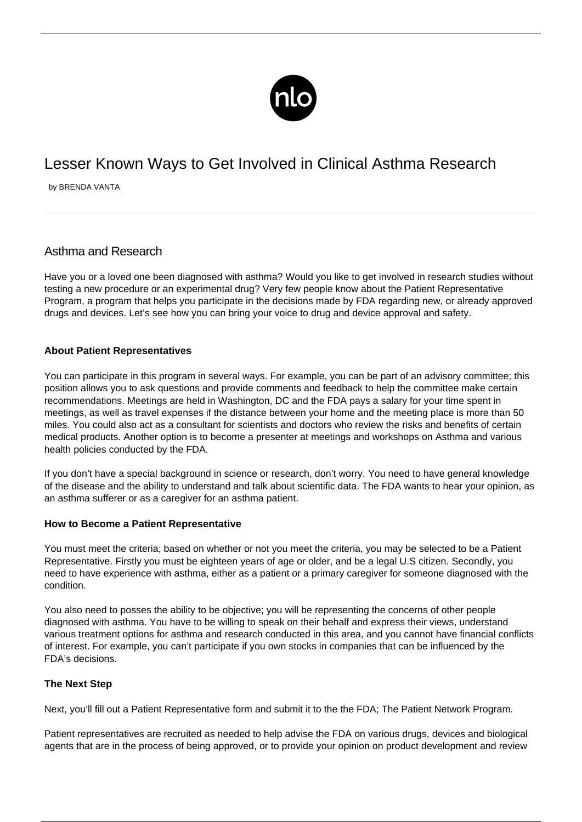

# Lesser Known Ways to Get Involved in Clinical Asthma Research

by BRENDA VANTA

# Asthma and Research

Have you or a loved one been diagnosed with asthma? Would you like to get involved in research studies without testing a new procedure or an experimental drug? Very few people know about the Patient Representative Program, a program that helps you participate in the decisions made by FDA regarding new, or already approved drugs and devices. Let's see how you can bring your voice to drug and device approval and safety.

## **About Patient Representatives**

You can participate in this program in several ways. For example, you can be part of an advisory committee; this position allows you to ask questions and provide comments and feedback to help the committee make certain recommendations. Meetings are held in Washington, DC and the FDA pays a salary for your time spent in meetings, as well as travel expenses if the distance between your home and the meeting place is more than 50 miles. You could also act as a consultant for scientists and doctors who review the risks and benefits of certain medical products. Another option is to become a presenter at meetings and workshops on Asthma and various health policies conducted by the FDA.

If you don't have a special background in science or research, don't worry. You need to have general knowledge of the disease and the ability to understand and talk about scientific data. The FDA wants to hear your opinion, as an asthma sufferer or as a [caregiver](http://parkinsons.newlifeoutlook.com/caregiver-patient-tips/) for an asthma patient.

#### **How to Become a Patient Representative**

You must meet the criteria; based on whether or not you meet the criteria, you may be selected to be a Patient Representative. Firstly you must be eighteen years of age or older, and be a legal U.S citizen. Secondly, you need to have experience with asthma, either as a patient or a primary caregiver for someone diagnosed with the condition.

You also need to posses the ability to be objective; you will be representing the concerns of other people diagnosed with asthma. You have to be willing to speak on their behalf and express their views, understand various treatment options for asthma and research conducted in this area, and you cannot have financial conflicts of interest. For example, you can't participate if you own stocks in companies that can be influenced by the FDA's decisions.

## **The Next Step**

Next, you'll fill out a Patient Representative form and submit it to the the FDA; [The Patient Network Program](http://patientnetwork.fda.gov/about-patient-representative-program).

Patient representatives are recruited as needed to help advise the FDA on various drugs, devices and biological agents that are in the process of being approved, or to provide your opinion on product development and review